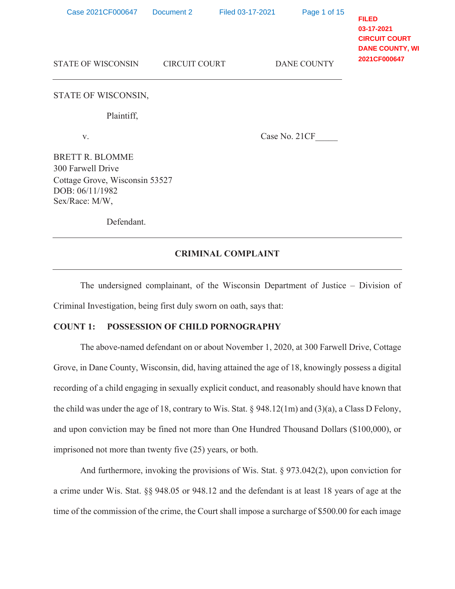| Case 2021CF000647              | Document 2           | Filed 03-17-2021 | Page 1 of 15       | <b>FILED</b><br>03-17-2021<br><b>CIRCUIT COURT</b><br><b>DANE COUNTY, WI</b> |
|--------------------------------|----------------------|------------------|--------------------|------------------------------------------------------------------------------|
| <b>STATE OF WISCONSIN</b>      | <b>CIRCUIT COURT</b> |                  | <b>DANE COUNTY</b> | 2021CF000647                                                                 |
| STATE OF WISCONSIN,            |                      |                  |                    |                                                                              |
| Plaintiff,                     |                      |                  |                    |                                                                              |
| V.                             |                      |                  | Case No. 21CF      |                                                                              |
| <b>BRETT R. BLOMME</b>         |                      |                  |                    |                                                                              |
| 300 Farwell Drive              |                      |                  |                    |                                                                              |
| Cottage Grove, Wisconsin 53527 |                      |                  |                    |                                                                              |

Defendant.

DOB: 06/11/1982 Sex/Race: M/W,

### **CRIMINAL COMPLAINT**

 The undersigned complainant, of the Wisconsin Department of Justice – Division of Criminal Investigation, being first duly sworn on oath, says that:

#### **COUNT 1: POSSESSION OF CHILD PORNOGRAPHY**

 The above-named defendant on or about November 1, 2020, at 300 Farwell Drive, Cottage Grove, in Dane County, Wisconsin, did, having attained the age of 18, knowingly possess a digital recording of a child engaging in sexually explicit conduct, and reasonably should have known that the child was under the age of 18, contrary to Wis. Stat. § 948.12(1m) and (3)(a), a Class D Felony, and upon conviction may be fined not more than One Hundred Thousand Dollars (\$100,000), or imprisoned not more than twenty five (25) years, or both.

 And furthermore, invoking the provisions of Wis. Stat. § 973.042(2), upon conviction for a crime under Wis. Stat. §§ 948.05 or 948.12 and the defendant is at least 18 years of age at the time of the commission of the crime, the Court shall impose a surcharge of \$500.00 for each image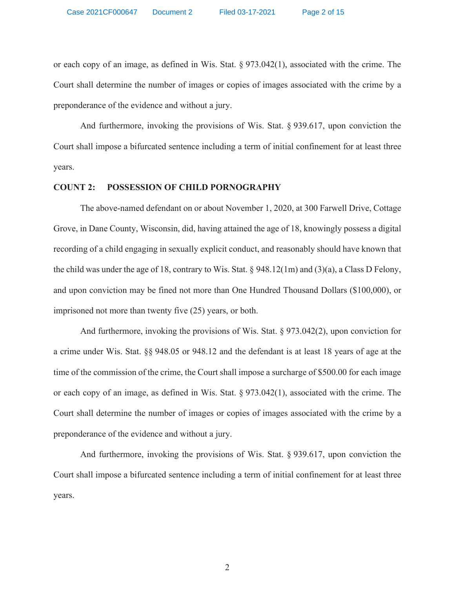or each copy of an image, as defined in Wis. Stat. § 973.042(1), associated with the crime. The Court shall determine the number of images or copies of images associated with the crime by a preponderance of the evidence and without a jury.

 And furthermore, invoking the provisions of Wis. Stat. § 939.617, upon conviction the Court shall impose a bifurcated sentence including a term of initial confinement for at least three years.

#### **COUNT 2: POSSESSION OF CHILD PORNOGRAPHY**

 The above-named defendant on or about November 1, 2020, at 300 Farwell Drive, Cottage Grove, in Dane County, Wisconsin, did, having attained the age of 18, knowingly possess a digital recording of a child engaging in sexually explicit conduct, and reasonably should have known that the child was under the age of 18, contrary to Wis. Stat. § 948.12(1m) and (3)(a), a Class D Felony, and upon conviction may be fined not more than One Hundred Thousand Dollars (\$100,000), or imprisoned not more than twenty five (25) years, or both.

 And furthermore, invoking the provisions of Wis. Stat. § 973.042(2), upon conviction for a crime under Wis. Stat. §§ 948.05 or 948.12 and the defendant is at least 18 years of age at the time of the commission of the crime, the Court shall impose a surcharge of \$500.00 for each image or each copy of an image, as defined in Wis. Stat. § 973.042(1), associated with the crime. The Court shall determine the number of images or copies of images associated with the crime by a preponderance of the evidence and without a jury.

 And furthermore, invoking the provisions of Wis. Stat. § 939.617, upon conviction the Court shall impose a bifurcated sentence including a term of initial confinement for at least three years.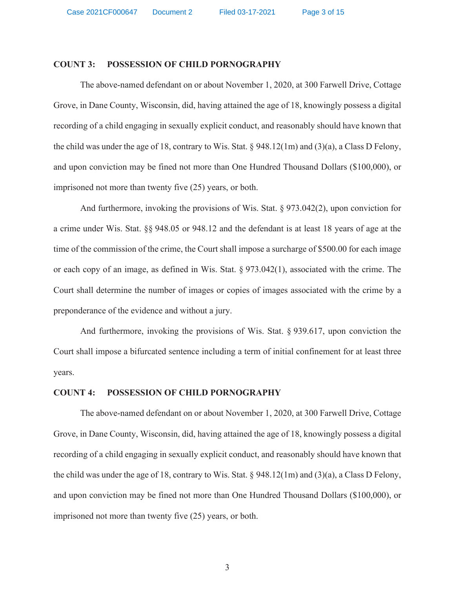Case 2021CF000647 Document 2 Filed 03-17-2021 Page 3 of 15

#### **COUNT 3: POSSESSION OF CHILD PORNOGRAPHY**

 The above-named defendant on or about November 1, 2020, at 300 Farwell Drive, Cottage Grove, in Dane County, Wisconsin, did, having attained the age of 18, knowingly possess a digital recording of a child engaging in sexually explicit conduct, and reasonably should have known that the child was under the age of 18, contrary to Wis. Stat.  $\S$  948.12(1m) and (3)(a), a Class D Felony, and upon conviction may be fined not more than One Hundred Thousand Dollars (\$100,000), or imprisoned not more than twenty five (25) years, or both.

 And furthermore, invoking the provisions of Wis. Stat. § 973.042(2), upon conviction for a crime under Wis. Stat. §§ 948.05 or 948.12 and the defendant is at least 18 years of age at the time of the commission of the crime, the Court shall impose a surcharge of \$500.00 for each image or each copy of an image, as defined in Wis. Stat. § 973.042(1), associated with the crime. The Court shall determine the number of images or copies of images associated with the crime by a preponderance of the evidence and without a jury.

 And furthermore, invoking the provisions of Wis. Stat. § 939.617, upon conviction the Court shall impose a bifurcated sentence including a term of initial confinement for at least three years.

#### **COUNT 4: POSSESSION OF CHILD PORNOGRAPHY**

 The above-named defendant on or about November 1, 2020, at 300 Farwell Drive, Cottage Grove, in Dane County, Wisconsin, did, having attained the age of 18, knowingly possess a digital recording of a child engaging in sexually explicit conduct, and reasonably should have known that the child was under the age of 18, contrary to Wis. Stat. § 948.12(1m) and (3)(a), a Class D Felony, and upon conviction may be fined not more than One Hundred Thousand Dollars (\$100,000), or imprisoned not more than twenty five (25) years, or both.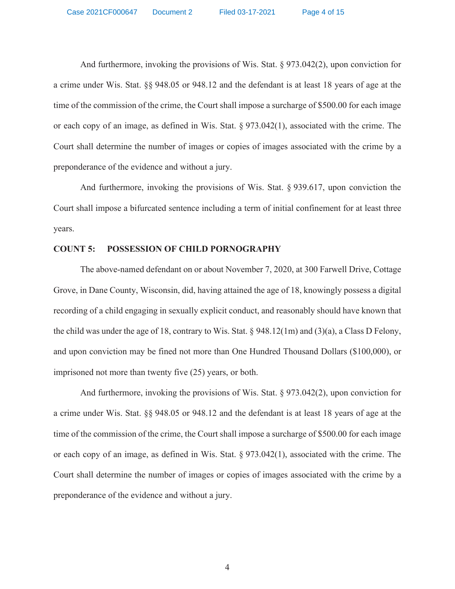And furthermore, invoking the provisions of Wis. Stat. § 973.042(2), upon conviction for a crime under Wis. Stat. §§ 948.05 or 948.12 and the defendant is at least 18 years of age at the time of the commission of the crime, the Court shall impose a surcharge of \$500.00 for each image or each copy of an image, as defined in Wis. Stat. § 973.042(1), associated with the crime. The Court shall determine the number of images or copies of images associated with the crime by a preponderance of the evidence and without a jury.

 And furthermore, invoking the provisions of Wis. Stat. § 939.617, upon conviction the Court shall impose a bifurcated sentence including a term of initial confinement for at least three years.

# **COUNT 5: POSSESSION OF CHILD PORNOGRAPHY**

 The above-named defendant on or about November 7, 2020, at 300 Farwell Drive, Cottage Grove, in Dane County, Wisconsin, did, having attained the age of 18, knowingly possess a digital recording of a child engaging in sexually explicit conduct, and reasonably should have known that the child was under the age of 18, contrary to Wis. Stat. § 948.12(1m) and (3)(a), a Class D Felony, and upon conviction may be fined not more than One Hundred Thousand Dollars (\$100,000), or imprisoned not more than twenty five (25) years, or both.

 And furthermore, invoking the provisions of Wis. Stat. § 973.042(2), upon conviction for a crime under Wis. Stat. §§ 948.05 or 948.12 and the defendant is at least 18 years of age at the time of the commission of the crime, the Court shall impose a surcharge of \$500.00 for each image or each copy of an image, as defined in Wis. Stat. § 973.042(1), associated with the crime. The Court shall determine the number of images or copies of images associated with the crime by a preponderance of the evidence and without a jury.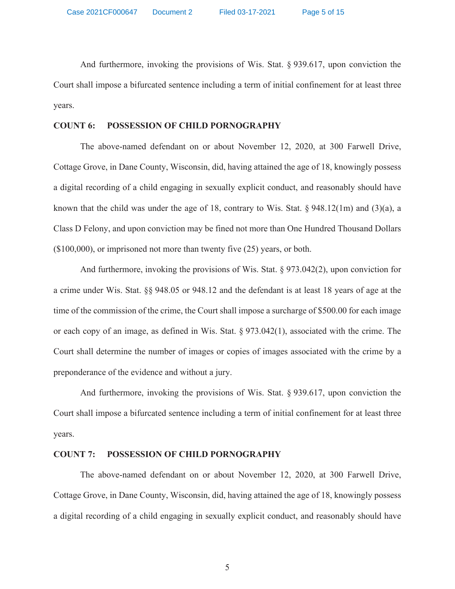And furthermore, invoking the provisions of Wis. Stat. § 939.617, upon conviction the Court shall impose a bifurcated sentence including a term of initial confinement for at least three years.

#### **COUNT 6: POSSESSION OF CHILD PORNOGRAPHY**

 The above-named defendant on or about November 12, 2020, at 300 Farwell Drive, Cottage Grove, in Dane County, Wisconsin, did, having attained the age of 18, knowingly possess a digital recording of a child engaging in sexually explicit conduct, and reasonably should have known that the child was under the age of 18, contrary to Wis. Stat. § 948.12(1m) and (3)(a), a Class D Felony, and upon conviction may be fined not more than One Hundred Thousand Dollars (\$100,000), or imprisoned not more than twenty five (25) years, or both.

 And furthermore, invoking the provisions of Wis. Stat. § 973.042(2), upon conviction for a crime under Wis. Stat. §§ 948.05 or 948.12 and the defendant is at least 18 years of age at the time of the commission of the crime, the Court shall impose a surcharge of \$500.00 for each image or each copy of an image, as defined in Wis. Stat. § 973.042(1), associated with the crime. The Court shall determine the number of images or copies of images associated with the crime by a preponderance of the evidence and without a jury.

 And furthermore, invoking the provisions of Wis. Stat. § 939.617, upon conviction the Court shall impose a bifurcated sentence including a term of initial confinement for at least three years.

### **COUNT 7: POSSESSION OF CHILD PORNOGRAPHY**

 The above-named defendant on or about November 12, 2020, at 300 Farwell Drive, Cottage Grove, in Dane County, Wisconsin, did, having attained the age of 18, knowingly possess a digital recording of a child engaging in sexually explicit conduct, and reasonably should have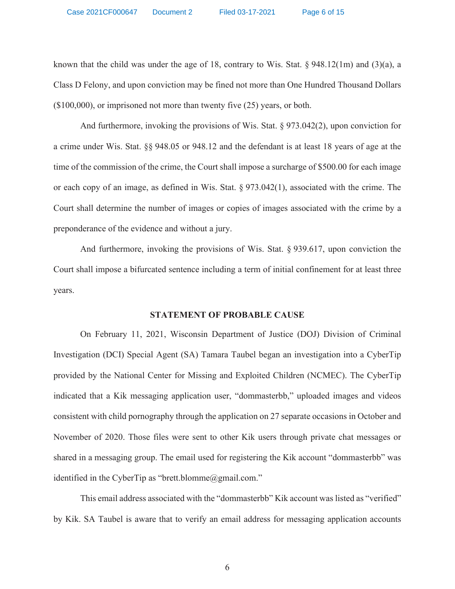known that the child was under the age of 18, contrary to Wis. Stat. § 948.12(1m) and (3)(a), a Class D Felony, and upon conviction may be fined not more than One Hundred Thousand Dollars (\$100,000), or imprisoned not more than twenty five (25) years, or both.

 And furthermore, invoking the provisions of Wis. Stat. § 973.042(2), upon conviction for a crime under Wis. Stat. §§ 948.05 or 948.12 and the defendant is at least 18 years of age at the time of the commission of the crime, the Court shall impose a surcharge of \$500.00 for each image or each copy of an image, as defined in Wis. Stat. § 973.042(1), associated with the crime. The Court shall determine the number of images or copies of images associated with the crime by a preponderance of the evidence and without a jury.

 And furthermore, invoking the provisions of Wis. Stat. § 939.617, upon conviction the Court shall impose a bifurcated sentence including a term of initial confinement for at least three years.

# **STATEMENT OF PROBABLE CAUSE**

 On February 11, 2021, Wisconsin Department of Justice (DOJ) Division of Criminal Investigation (DCI) Special Agent (SA) Tamara Taubel began an investigation into a CyberTip provided by the National Center for Missing and Exploited Children (NCMEC). The CyberTip indicated that a Kik messaging application user, "dommasterbb," uploaded images and videos consistent with child pornography through the application on 27 separate occasions in October and November of 2020. Those files were sent to other Kik users through private chat messages or shared in a messaging group. The email used for registering the Kik account "dommasterbb" was identified in the CyberTip as "brett.blomme@gmail.com."

This email address associated with the "dommasterbb" Kik account was listed as "verified" by Kik. SA Taubel is aware that to verify an email address for messaging application accounts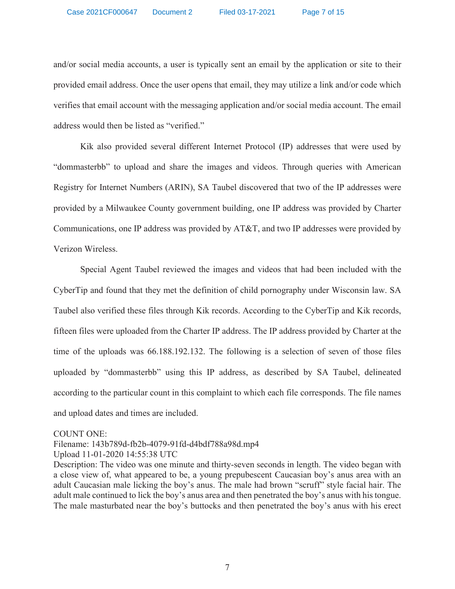and/or social media accounts, a user is typically sent an email by the application or site to their provided email address. Once the user opens that email, they may utilize a link and/or code which verifies that email account with the messaging application and/or social media account. The email address would then be listed as "verified."

 Kik also provided several different Internet Protocol (IP) addresses that were used by "dommasterbb" to upload and share the images and videos. Through queries with American Registry for Internet Numbers (ARIN), SA Taubel discovered that two of the IP addresses were provided by a Milwaukee County government building, one IP address was provided by Charter Communications, one IP address was provided by AT&T, and two IP addresses were provided by Verizon Wireless.

 Special Agent Taubel reviewed the images and videos that had been included with the CyberTip and found that they met the definition of child pornography under Wisconsin law. SA Taubel also verified these files through Kik records. According to the CyberTip and Kik records, fifteen files were uploaded from the Charter IP address. The IP address provided by Charter at the time of the uploads was 66.188.192.132. The following is a selection of seven of those files uploaded by "dommasterbb" using this IP address, as described by SA Taubel, delineated according to the particular count in this complaint to which each file corresponds. The file names and upload dates and times are included.

# COUNT ONE:

Filename: 143b789d-fb2b-4079-91fd-d4bdf788a98d.mp4

Upload 11-01-2020 14:55:38 UTC

Description: The video was one minute and thirty-seven seconds in length. The video began with a close view of, what appeared to be, a young prepubescent Caucasian boy's anus area with an adult Caucasian male licking the boy's anus. The male had brown "scruff" style facial hair. The adult male continued to lick the boy's anus area and then penetrated the boy's anus with his tongue. The male masturbated near the boy's buttocks and then penetrated the boy's anus with his erect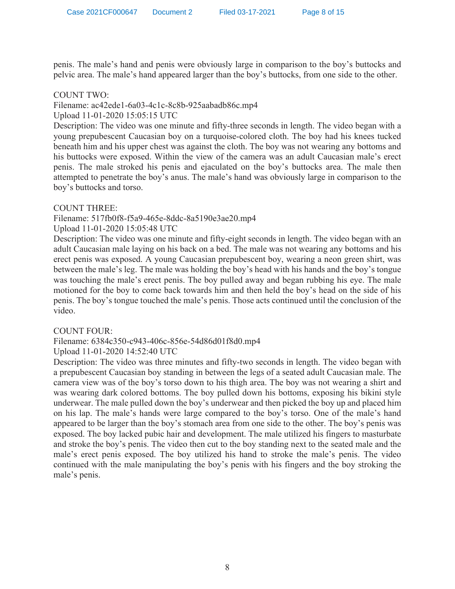penis. The male's hand and penis were obviously large in comparison to the boy's buttocks and pelvic area. The male's hand appeared larger than the boy's buttocks, from one side to the other.

# COUNT TWO:

Filename: ac42ede1-6a03-4c1c-8c8b-925aabadb86c.mp4

Upload 11-01-2020 15:05:15 UTC

Description: The video was one minute and fifty-three seconds in length. The video began with a young prepubescent Caucasian boy on a turquoise-colored cloth. The boy had his knees tucked beneath him and his upper chest was against the cloth. The boy was not wearing any bottoms and his buttocks were exposed. Within the view of the camera was an adult Caucasian male's erect penis. The male stroked his penis and ejaculated on the boy's buttocks area. The male then attempted to penetrate the boy's anus. The male's hand was obviously large in comparison to the boy's buttocks and torso.

# COUNT THREE:

Filename: 517fb0f8-f5a9-465e-8ddc-8a5190e3ae20.mp4

Upload 11-01-2020 15:05:48 UTC

Description: The video was one minute and fifty-eight seconds in length. The video began with an adult Caucasian male laying on his back on a bed. The male was not wearing any bottoms and his erect penis was exposed. A young Caucasian prepubescent boy, wearing a neon green shirt, was between the male's leg. The male was holding the boy's head with his hands and the boy's tongue was touching the male's erect penis. The boy pulled away and began rubbing his eye. The male motioned for the boy to come back towards him and then held the boy's head on the side of his penis. The boy's tongue touched the male's penis. Those acts continued until the conclusion of the video.

# COUNT FOUR:

Filename: 6384c350-c943-406c-856e-54d86d01f8d0.mp4

Upload 11-01-2020 14:52:40 UTC

Description: The video was three minutes and fifty-two seconds in length. The video began with a prepubescent Caucasian boy standing in between the legs of a seated adult Caucasian male. The camera view was of the boy's torso down to his thigh area. The boy was not wearing a shirt and was wearing dark colored bottoms. The boy pulled down his bottoms, exposing his bikini style underwear. The male pulled down the boy's underwear and then picked the boy up and placed him on his lap. The male's hands were large compared to the boy's torso. One of the male's hand appeared to be larger than the boy's stomach area from one side to the other. The boy's penis was exposed. The boy lacked pubic hair and development. The male utilized his fingers to masturbate and stroke the boy's penis. The video then cut to the boy standing next to the seated male and the male's erect penis exposed. The boy utilized his hand to stroke the male's penis. The video continued with the male manipulating the boy's penis with his fingers and the boy stroking the male's penis.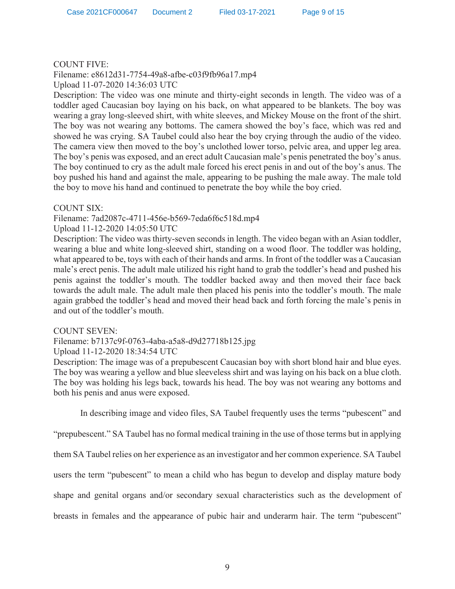#### COUNT FIVE:

Filename: e8612d31-7754-49a8-afbe-c03f9fb96a17.mp4

Upload 11-07-2020 14:36:03 UTC

Description: The video was one minute and thirty-eight seconds in length. The video was of a toddler aged Caucasian boy laying on his back, on what appeared to be blankets. The boy was wearing a gray long-sleeved shirt, with white sleeves, and Mickey Mouse on the front of the shirt. The boy was not wearing any bottoms. The camera showed the boy's face, which was red and showed he was crying. SA Taubel could also hear the boy crying through the audio of the video. The camera view then moved to the boy's unclothed lower torso, pelvic area, and upper leg area. The boy's penis was exposed, and an erect adult Caucasian male's penis penetrated the boy's anus. The boy continued to cry as the adult male forced his erect penis in and out of the boy's anus. The boy pushed his hand and against the male, appearing to be pushing the male away. The male told the boy to move his hand and continued to penetrate the boy while the boy cried.

### COUNT SIX:

Filename: 7ad2087c-4711-456e-b569-7eda6f6c518d.mp4

Upload 11-12-2020 14:05:50 UTC

Description: The video was thirty-seven seconds in length. The video began with an Asian toddler, wearing a blue and white long-sleeved shirt, standing on a wood floor. The toddler was holding, what appeared to be, toys with each of their hands and arms. In front of the toddler was a Caucasian male's erect penis. The adult male utilized his right hand to grab the toddler's head and pushed his penis against the toddler's mouth. The toddler backed away and then moved their face back towards the adult male. The adult male then placed his penis into the toddler's mouth. The male again grabbed the toddler's head and moved their head back and forth forcing the male's penis in and out of the toddler's mouth.

#### COUNT SEVEN:

Filename: b7137c9f-0763-4aba-a5a8-d9d27718b125.jpg

Upload 11-12-2020 18:34:54 UTC

Description: The image was of a prepubescent Caucasian boy with short blond hair and blue eyes. The boy was wearing a yellow and blue sleeveless shirt and was laying on his back on a blue cloth. The boy was holding his legs back, towards his head. The boy was not wearing any bottoms and both his penis and anus were exposed.

In describing image and video files, SA Taubel frequently uses the terms "pubescent" and

"prepubescent." SA Taubel has no formal medical training in the use of those terms but in applying

them SA Taubel relies on her experience as an investigator and her common experience. SA Taubel

users the term "pubescent" to mean a child who has begun to develop and display mature body

shape and genital organs and/or secondary sexual characteristics such as the development of

breasts in females and the appearance of pubic hair and underarm hair. The term "pubescent"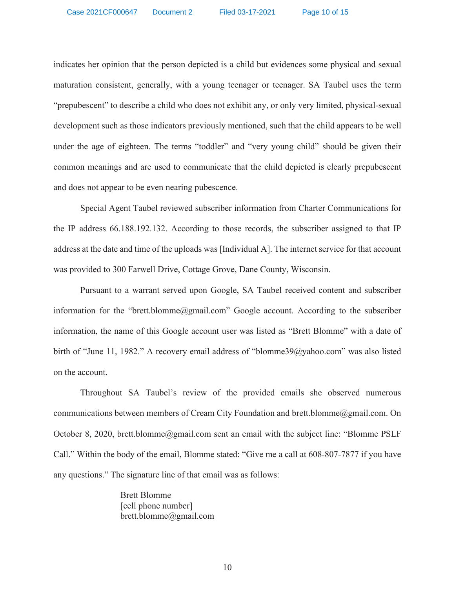indicates her opinion that the person depicted is a child but evidences some physical and sexual maturation consistent, generally, with a young teenager or teenager. SA Taubel uses the term "prepubescent" to describe a child who does not exhibit any, or only very limited, physical-sexual development such as those indicators previously mentioned, such that the child appears to be well under the age of eighteen. The terms "toddler" and "very young child" should be given their common meanings and are used to communicate that the child depicted is clearly prepubescent and does not appear to be even nearing pubescence.

 Special Agent Taubel reviewed subscriber information from Charter Communications for the IP address 66.188.192.132. According to those records, the subscriber assigned to that IP address at the date and time of the uploads was [Individual A]. The internet service for that account was provided to 300 Farwell Drive, Cottage Grove, Dane County, Wisconsin.

 Pursuant to a warrant served upon Google, SA Taubel received content and subscriber information for the "brett.blomme@gmail.com" Google account. According to the subscriber information, the name of this Google account user was listed as "Brett Blomme" with a date of birth of "June 11, 1982." A recovery email address of "blomme39@yahoo.com" was also listed on the account.

Throughout SA Taubel's review of the provided emails she observed numerous communications between members of Cream City Foundation and brett.blomme@gmail.com. On October 8, 2020, brett.blomme@gmail.com sent an email with the subject line: "Blomme PSLF Call." Within the body of the email, Blomme stated: "Give me a call at 608-807-7877 if you have any questions." The signature line of that email was as follows:

> Brett Blomme [cell phone number] brett.blomme@gmail.com

> > 10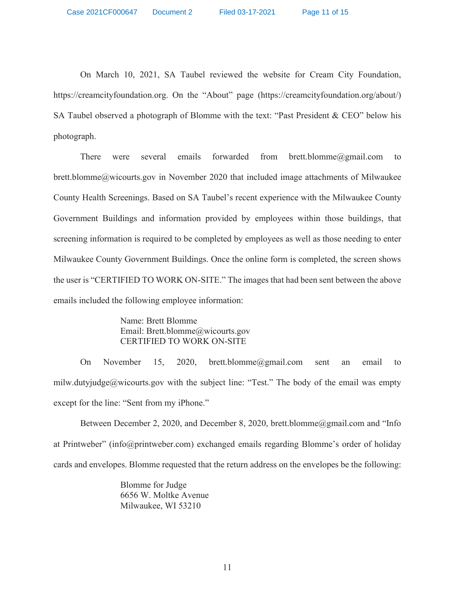On March 10, 2021, SA Taubel reviewed the website for Cream City Foundation, https://creamcityfoundation.org. On the "About" page (https://creamcityfoundation.org/about/) SA Taubel observed a photograph of Blomme with the text: "Past President & CEO" below his photograph.

 There were several emails forwarded from brett.blomme@gmail.com to brett.blomme@wicourts.gov in November 2020 that included image attachments of Milwaukee County Health Screenings. Based on SA Taubel's recent experience with the Milwaukee County Government Buildings and information provided by employees within those buildings, that screening information is required to be completed by employees as well as those needing to enter Milwaukee County Government Buildings. Once the online form is completed, the screen shows the user is "CERTIFIED TO WORK ON-SITE." The images that had been sent between the above emails included the following employee information:

> Name: Brett Blomme Email: Brett.blomme@wicourts.gov CERTIFIED TO WORK ON-SITE

 On November 15, 2020, brett.blomme@gmail.com sent an email to milw.dutyjudge@wicourts.gov with the subject line: "Test." The body of the email was empty except for the line: "Sent from my iPhone."

Between December 2, 2020, and December 8, 2020, brett.blomme@gmail.com and "Info at Printweber" (info@printweber.com) exchanged emails regarding Blomme's order of holiday cards and envelopes. Blomme requested that the return address on the envelopes be the following:

> Blomme for Judge 6656 W. Moltke Avenue Milwaukee, WI 53210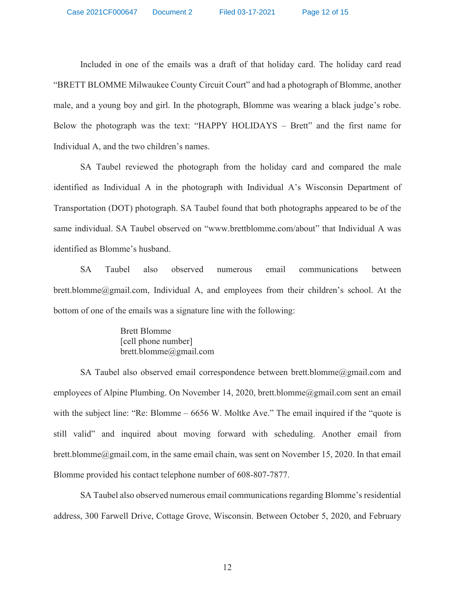Included in one of the emails was a draft of that holiday card. The holiday card read "BRETT BLOMME Milwaukee County Circuit Court" and had a photograph of Blomme, another male, and a young boy and girl. In the photograph, Blomme was wearing a black judge's robe. Below the photograph was the text: "HAPPY HOLIDAYS – Brett" and the first name for Individual A, and the two children's names.

 SA Taubel reviewed the photograph from the holiday card and compared the male identified as Individual A in the photograph with Individual A's Wisconsin Department of Transportation (DOT) photograph. SA Taubel found that both photographs appeared to be of the same individual. SA Taubel observed on "www.brettblomme.com/about" that Individual A was identified as Blomme's husband.

 SA Taubel also observed numerous email communications between brett.blomme@gmail.com, Individual A, and employees from their children's school. At the bottom of one of the emails was a signature line with the following:

> Brett Blomme [cell phone number] brett.blomme@gmail.com

SA Taubel also observed email correspondence between brett.blomme@gmail.com and employees of Alpine Plumbing. On November 14, 2020, brett.blomme@gmail.com sent an email with the subject line: "Re: Blomme – 6656 W. Moltke Ave." The email inquired if the "quote is still valid" and inquired about moving forward with scheduling. Another email from brett.blomme@gmail.com, in the same email chain, was sent on November 15, 2020. In that email Blomme provided his contact telephone number of 608-807-7877.

 SA Taubel also observed numerous email communications regarding Blomme's residential address, 300 Farwell Drive, Cottage Grove, Wisconsin. Between October 5, 2020, and February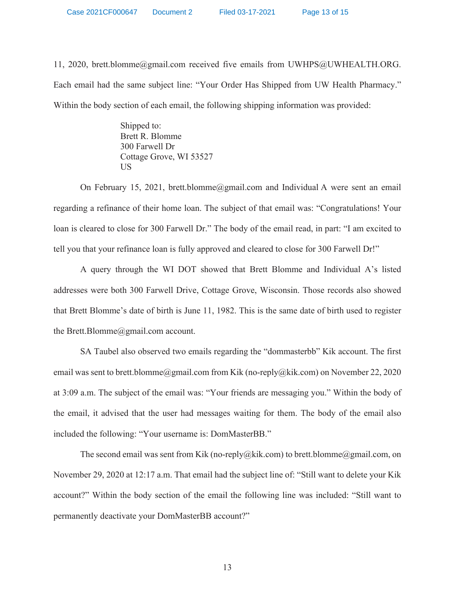Case 2021CF000647 Document 2 Filed 03-17-2021

11, 2020, brett.blomme@gmail.com received five emails from UWHPS@UWHEALTH.ORG. Each email had the same subject line: "Your Order Has Shipped from UW Health Pharmacy." Within the body section of each email, the following shipping information was provided:

> Shipped to: Brett R. Blomme 300 Farwell Dr Cottage Grove, WI 53527 US

On February 15, 2021, brett.blomme@gmail.com and Individual A were sent an email regarding a refinance of their home loan. The subject of that email was: "Congratulations! Your loan is cleared to close for 300 Farwell Dr." The body of the email read, in part: "I am excited to tell you that your refinance loan is fully approved and cleared to close for 300 Farwell Dr!"

 A query through the WI DOT showed that Brett Blomme and Individual A's listed addresses were both 300 Farwell Drive, Cottage Grove, Wisconsin. Those records also showed that Brett Blomme's date of birth is June 11, 1982. This is the same date of birth used to register the Brett.Blomme@gmail.com account.

 SA Taubel also observed two emails regarding the "dommasterbb" Kik account. The first email was sent to brett.blomme@gmail.com from Kik (no-reply@kik.com) on November 22, 2020 at 3:09 a.m. The subject of the email was: "Your friends are messaging you." Within the body of the email, it advised that the user had messages waiting for them. The body of the email also included the following: "Your username is: DomMasterBB."

The second email was sent from Kik (no-reply@kik.com) to brett.blomme@gmail.com, on November 29, 2020 at 12:17 a.m. That email had the subject line of: "Still want to delete your Kik account?" Within the body section of the email the following line was included: "Still want to permanently deactivate your DomMasterBB account?"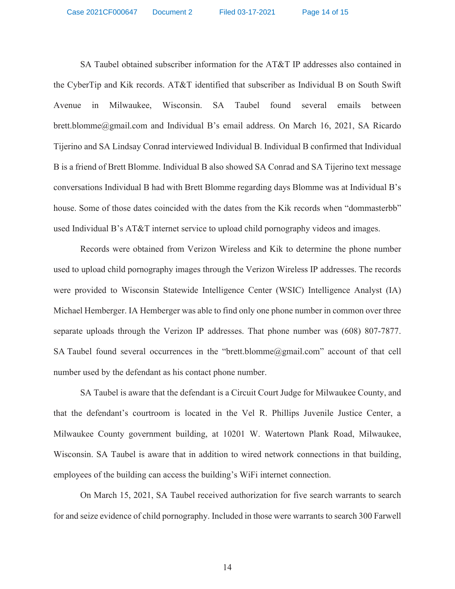SA Taubel obtained subscriber information for the AT&T IP addresses also contained in the CyberTip and Kik records. AT&T identified that subscriber as Individual B on South Swift Avenue in Milwaukee, Wisconsin. SA Taubel found several emails between brett.blomme@gmail.com and Individual B's email address. On March 16, 2021, SA Ricardo Tijerino and SA Lindsay Conrad interviewed Individual B. Individual B confirmed that Individual B is a friend of Brett Blomme. Individual B also showed SA Conrad and SA Tijerino text message conversations Individual B had with Brett Blomme regarding days Blomme was at Individual B's house. Some of those dates coincided with the dates from the Kik records when "dommasterbb" used Individual B's AT&T internet service to upload child pornography videos and images.

 Records were obtained from Verizon Wireless and Kik to determine the phone number used to upload child pornography images through the Verizon Wireless IP addresses. The records were provided to Wisconsin Statewide Intelligence Center (WSIC) Intelligence Analyst (IA) Michael Hemberger. IA Hemberger was able to find only one phone number in common over three separate uploads through the Verizon IP addresses. That phone number was (608) 807-7877. SA Taubel found several occurrences in the "brett.blomme@gmail.com" account of that cell number used by the defendant as his contact phone number.

 SA Taubel is aware that the defendant is a Circuit Court Judge for Milwaukee County, and that the defendant's courtroom is located in the Vel R. Phillips Juvenile Justice Center, a Milwaukee County government building, at 10201 W. Watertown Plank Road, Milwaukee, Wisconsin. SA Taubel is aware that in addition to wired network connections in that building, employees of the building can access the building's WiFi internet connection.

 On March 15, 2021, SA Taubel received authorization for five search warrants to search for and seize evidence of child pornography. Included in those were warrants to search 300 Farwell